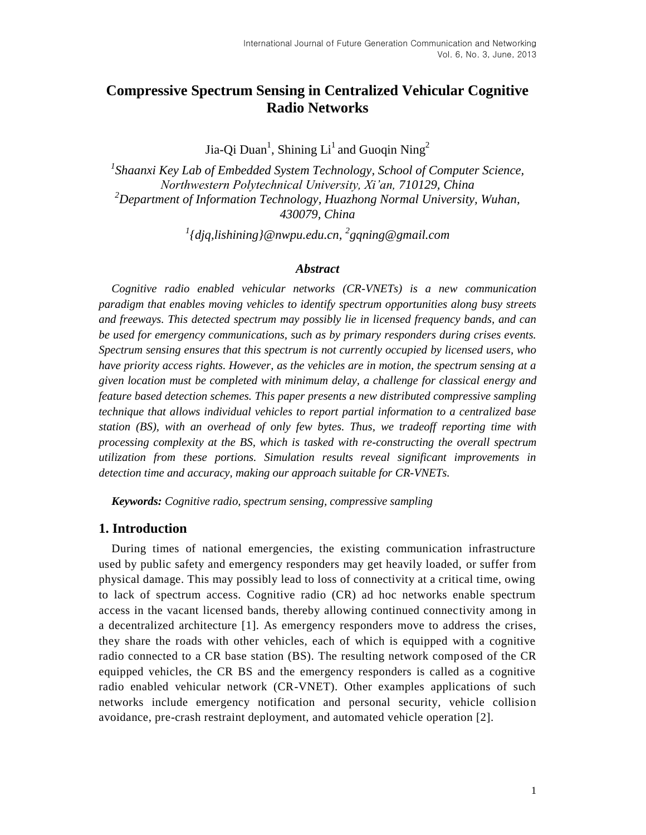# **Compressive Spectrum Sensing in Centralized Vehicular Cognitive Radio Networks**

Jia-Qi Duan<sup>1</sup>, Shining Li<sup>1</sup> and Guoqin Ning<sup>2</sup>

<sup>1</sup> Shaanxi Key Lab of Embedded System Technology, School of Computer Science, *Northwestern Polytechnical University, Xi'an, 710129, China <sup>2</sup>Department of Information Technology, Huazhong Normal University, Wuhan, 430079, China*

*1 {djq,lishining}@nwpu.edu.cn, 2 gqning@gmail.com*

#### *Abstract*

*Cognitive radio enabled vehicular networks (CR-VNETs) is a new communication paradigm that enables moving vehicles to identify spectrum opportunities along busy streets and freeways. This detected spectrum may possibly lie in licensed frequency bands, and can be used for emergency communications, such as by primary responders during crises events. Spectrum sensing ensures that this spectrum is not currently occupied by licensed users, who have priority access rights. However, as the vehicles are in motion, the spectrum sensing at a given location must be completed with minimum delay, a challenge for classical energy and feature based detection schemes. This paper presents a new distributed compressive sampling technique that allows individual vehicles to report partial information to a centralized base station (BS), with an overhead of only few bytes. Thus, we tradeoff reporting time with processing complexity at the BS, which is tasked with re-constructing the overall spectrum utilization from these portions. Simulation results reveal significant improvements in detection time and accuracy, making our approach suitable for CR-VNETs.*

*Keywords: Cognitive radio, spectrum sensing, compressive sampling*

# **1. Introduction**

During times of national emergencies, the existing communication infrastructure used by public safety and emergency responders may get heavily loaded, or suffer from physical damage. This may possibly lead to loss of connectivity at a critical time, owing to lack of spectrum access. Cognitive radio (CR) ad hoc networks enable spectrum access in the vacant licensed bands, thereby allowing continued connectivity among in a decentralized architecture [1]. As emergency responders move to address the crises, they share the roads with other vehicles, each of which is equipped with a cognitive radio connected to a CR base station (BS). The resulting network composed of the CR equipped vehicles, the CR BS and the emergency responders is called as a cognitive radio enabled vehicular network (CR-VNET). Other examples applications of such networks include emergency notification and personal security, vehicle collision avoidance, pre-crash restraint deployment, and automated vehicle operation [2].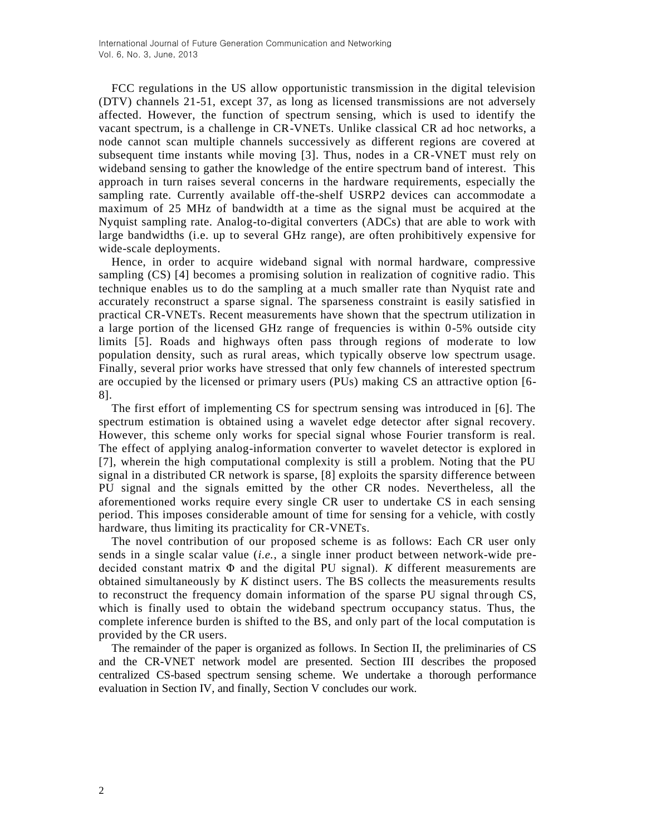FCC regulations in the US allow opportunistic transmission in the digital television (DTV) channels 21-51, except 37, as long as licensed transmissions are not adversely affected. However, the function of spectrum sensing, which is used to identify the vacant spectrum, is a challenge in CR-VNETs. Unlike classical CR ad hoc networks, a node cannot scan multiple channels successively as different regions are covered at subsequent time instants while moving [3]. Thus, nodes in a CR-VNET must rely on wideband sensing to gather the knowledge of the entire spectrum band of interest. This approach in turn raises several concerns in the hardware requirements, especially the sampling rate. Currently available off-the-shelf USRP2 devices can accommodate a maximum of 25 MHz of bandwidth at a time as the signal must be acquired at the Nyquist sampling rate. Analog-to-digital converters (ADCs) that are able to work with large bandwidths (i.e. up to several GHz range), are often prohibitively expensive for wide-scale deployments.

Hence, in order to acquire wideband signal with normal hardware, compressive sampling (CS) [4] becomes a promising solution in realization of cognitive radio. This technique enables us to do the sampling at a much smaller rate than Nyquist rate and accurately reconstruct a sparse signal. The sparseness constraint is easily satisfied in practical CR-VNETs. Recent measurements have shown that the spectrum utilization in a large portion of the licensed GHz range of frequencies is within 0-5% outside city limits [5]. Roads and highways often pass through regions of moderate to low population density, such as rural areas, which typically observe low spectrum usage. Finally, several prior works have stressed that only few channels of interested spectrum are occupied by the licensed or primary users (PUs) making CS an attractive option [6- 8].

The first effort of implementing CS for spectrum sensing was introduced in [6]. The spectrum estimation is obtained using a wavelet edge detector after signal recovery. However, this scheme only works for special signal whose Fourier transform is real. The effect of applying analog-information converter to wavelet detector is explored in [7], wherein the high computational complexity is still a problem. Noting that the PU signal in a distributed CR network is sparse, [8] exploits the sparsity difference between PU signal and the signals emitted by the other CR nodes. Nevertheless, all the aforementioned works require every single CR user to undertake CS in each sensing period. This imposes considerable amount of time for sensing for a vehicle, with costly hardware, thus limiting its practicality for CR-VNETs.

The novel contribution of our proposed scheme is as follows: Each CR user only sends in a single scalar value (*i.e.*, a single inner product between network-wide predecided constant matrix Φ and the digital PU signal). *K* different measurements are obtained simultaneously by *K* distinct users. The BS collects the measurements results to reconstruct the frequency domain information of the sparse PU signal through CS, which is finally used to obtain the wideband spectrum occupancy status. Thus, the complete inference burden is shifted to the BS, and only part of the local computation is provided by the CR users.

The remainder of the paper is organized as follows. In Section II, the preliminaries of CS and the CR-VNET network model are presented. Section III describes the proposed centralized CS-based spectrum sensing scheme. We undertake a thorough performance evaluation in Section IV, and finally, Section V concludes our work.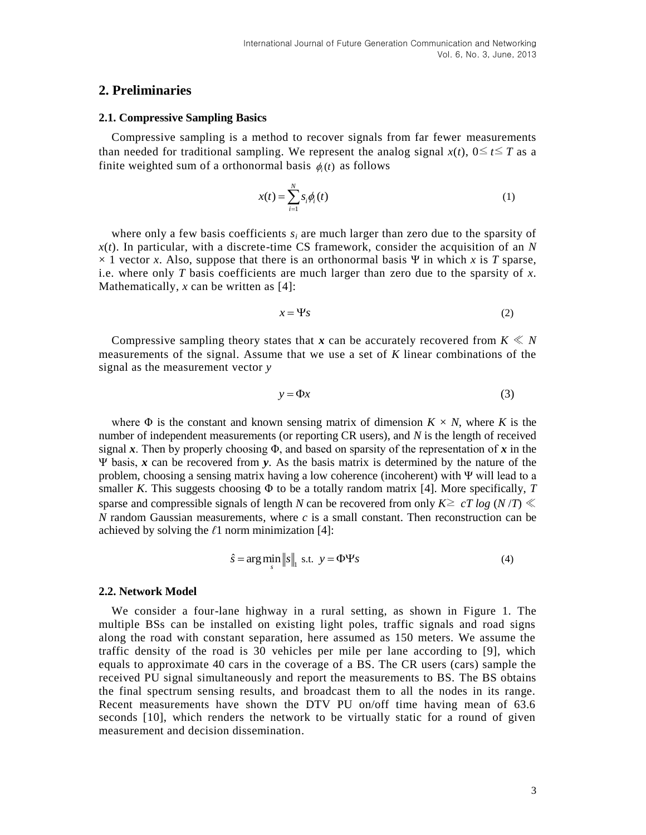### **2. Preliminaries**

#### **2.1. Compressive Sampling Basics**

Compressive sampling is a method to recover signals from far fewer measurements than needed for traditional sampling. We represent the analog signal  $x(t)$ ,  $0 \le t \le T$  as a finite weighted sum of a orthonormal basis  $\phi_i(t)$  as follows

$$
x(t) = \sum_{i=1}^{N} s_i \phi_i(t) \tag{1}
$$

where only a few basis coefficients  $s_i$  are much larger than zero due to the sparsity of *x*(*t*). In particular, with a discrete-time CS framework, consider the acquisition of an *N*  $\times$  1 vector *x*. Also, suppose that there is an orthonormal basis Ψ in which *x* is *T* sparse, i.e. where only *T* basis coefficients are much larger than zero due to the sparsity of *x*. Mathematically, *x* can be written as [4]:

$$
x = \Psi s \tag{2}
$$

Compressive sampling theory states that  $\boldsymbol{x}$  can be accurately recovered from  $K \ll N$ measurements of the signal. Assume that we use a set of *K* linear combinations of the signal as the measurement vector *y*

$$
y = \Phi x \tag{3}
$$

where  $\Phi$  is the constant and known sensing matrix of dimension  $K \times N$ , where *K* is the number of independent measurements (or reporting CR users), and *N* is the length of received signal x. Then by properly choosing  $\Phi$ , and based on sparsity of the representation of x in the Ψ basis, *x* can be recovered from *y*. As the basis matrix is determined by the nature of the problem, choosing a sensing matrix having a low coherence (incoherent) with Ψ will lead to a smaller *K*. This suggests choosing  $\Phi$  to be a totally random matrix [4]. More specifically, *T* sparse and compressible signals of length *N* can be recovered from only  $K \geq cT \log(N/T) \ll$ *N* random Gaussian measurements, where *c* is a small constant. Then reconstruction can be achieved by solving the *ℓ*1 norm minimization [4]:

$$
\hat{s} = \arg\min_{s} \|s\|_{1} \text{ s.t. } y = \Phi\Psi s
$$
\n<sup>(4)</sup>

#### **2.2. Network Model**

We consider a four-lane highway in a rural setting, as shown in Figure 1. The multiple BSs can be installed on existing light poles, traffic signals and road signs along the road with constant separation, here assumed as 150 meters. We assume the traffic density of the road is 30 vehicles per mile per lane according to [9], which equals to approximate 40 cars in the coverage of a BS. The CR users (cars) sample the received PU signal simultaneously and report the measurements to BS. The BS obtains the final spectrum sensing results, and broadcast them to all the nodes in its range. Recent measurements have shown the DTV PU on/off time having mean of 63.6 seconds [10], which renders the network to be virtually static for a round of given measurement and decision dissemination.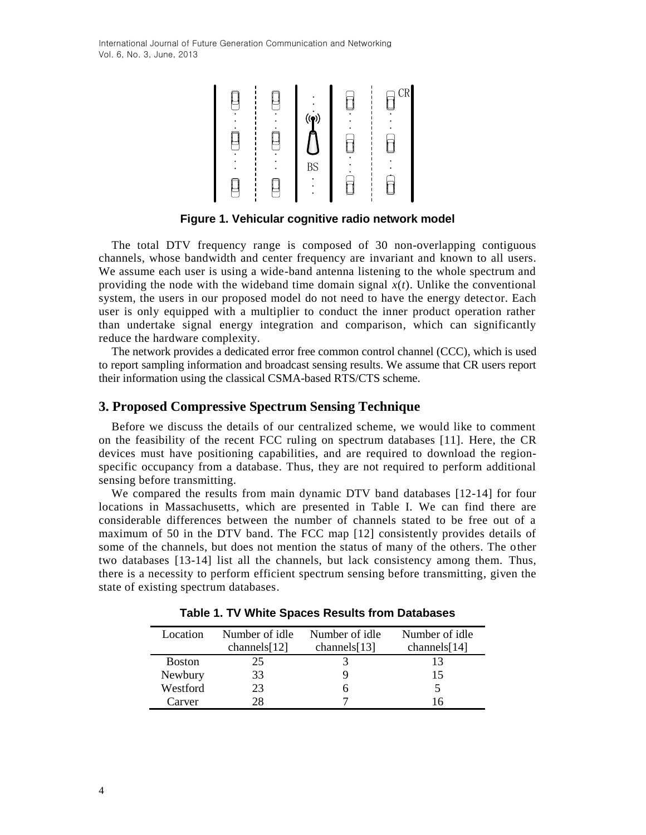International Journal of Future Generation Communication and Networking Vol. 6, No. 3, June, 2013



**Figure 1. Vehicular cognitive radio network model**

The total DTV frequency range is composed of 30 non-overlapping contiguous channels, whose bandwidth and center frequency are invariant and known to all users. We assume each user is using a wide-band antenna listening to the whole spectrum and providing the node with the wideband time domain signal  $x(t)$ . Unlike the conventional system, the users in our proposed model do not need to have the energy detector. Each user is only equipped with a multiplier to conduct the inner product operation rather than undertake signal energy integration and comparison, which can significantly reduce the hardware complexity.

The network provides a dedicated error free common control channel (CCC), which is used to report sampling information and broadcast sensing results. We assume that CR users report their information using the classical CSMA-based RTS/CTS scheme.

## **3. Proposed Compressive Spectrum Sensing Technique**

Before we discuss the details of our centralized scheme, we would like to comment on the feasibility of the recent FCC ruling on spectrum databases [11]. Here, the CR devices must have positioning capabilities, and are required to download the regionspecific occupancy from a database. Thus, they are not required to perform additional sensing before transmitting.

We compared the results from main dynamic DTV band databases [12-14] for four locations in Massachusetts, which are presented in Table I. We can find there are considerable differences between the number of channels stated to be free out of a maximum of 50 in the DTV band. The FCC map [12] consistently provides details of some of the channels, but does not mention the status of many of the others. The other two databases [13-14] list all the channels, but lack consistency among them. Thus, there is a necessity to perform efficient spectrum sensing before transmitting, given the state of existing spectrum databases.

| Location      | Number of idle  | Number of idle  | Number of idle  |
|---------------|-----------------|-----------------|-----------------|
|               | channels $[12]$ | channels $[13]$ | channels $[14]$ |
| <b>Boston</b> | 25              |                 |                 |
| Newbury       | 33              |                 | 15              |
| Westford      | 23              |                 |                 |
| Carver        | 28              |                 |                 |

**Table 1. TV White Spaces Results from Databases**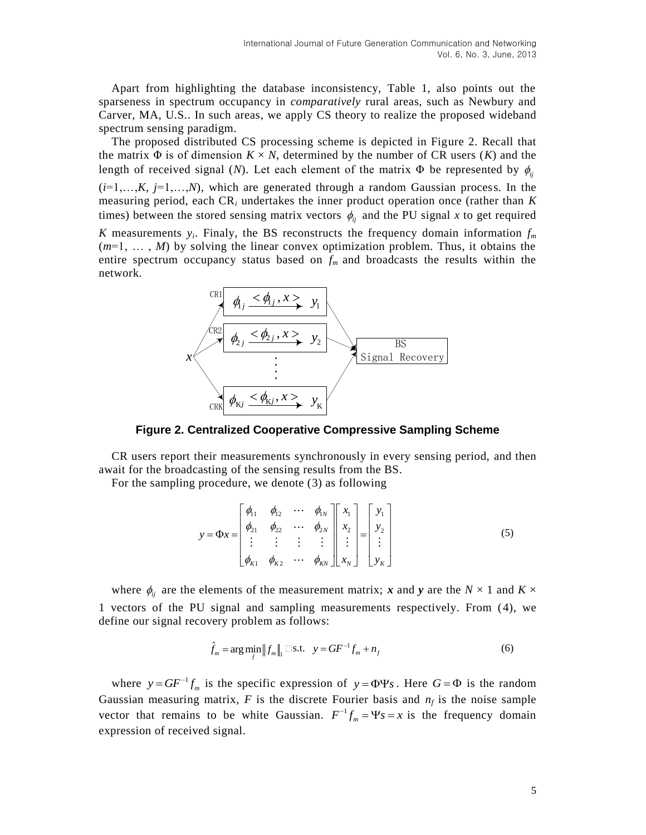Apart from highlighting the database inconsistency, Table 1, also points out the sparseness in spectrum occupancy in *comparatively* rural areas, such as Newbury and Carver, MA, U.S.. In such areas, we apply CS theory to realize the proposed wideband spectrum sensing paradigm.

The proposed distributed CS processing scheme is depicted in Figure 2. Recall that the matrix  $\Phi$  is of dimension  $K \times N$ , determined by the number of CR users  $(K)$  and the length of received signal (*N*). Let each element of the matrix  $\Phi$  be represented by  $\phi_{ij}$  $(i=1,...,K, j=1,...,N)$ , which are generated through a random Gaussian process. In the measuring period, each CR*<sup>i</sup>* undertakes the inner product operation once (rather than *K* times) between the stored sensing matrix vectors  $\phi_{ij}$  and the PU signal *x* to get required

*K* measurements  $y_i$ . Finaly, the BS reconstructs the frequency domain information  $f_m$ (*m*=1, … , *M*) by solving the linear convex optimization problem. Thus, it obtains the entire spectrum occupancy status based on  $f_m$  and broadcasts the results within the network.



**Figure 2. Centralized Cooperative Compressive Sampling Scheme**

CR users report their measurements synchronously in every sensing period, and then await for the broadcasting of the sensing results from the BS.

For the sampling procedure, we denote (3) as following

$$
y = \Phi x = \begin{bmatrix} \phi_{11} & \phi_{12} & \cdots & \phi_{1N} \\ \phi_{21} & \phi_{22} & \cdots & \phi_{2N} \\ \vdots & \vdots & \vdots & \vdots \\ \phi_{K1} & \phi_{K2} & \cdots & \phi_{KN} \end{bmatrix} \begin{bmatrix} x_1 \\ x_2 \\ \vdots \\ x_N \end{bmatrix} = \begin{bmatrix} y_1 \\ y_2 \\ \vdots \\ y_K \end{bmatrix}
$$
 (5)

where  $\phi_{ij}$  are the elements of the measurement matrix; *x* and *y* are the  $N \times 1$  and  $K \times$ 1 vectors of the PU signal and sampling measurements respectively. From (4), we define our signal recovery problem as follows:

$$
\hat{f}_m = \arg \min_{f} \|f_m\|_1 \Box \text{s.t.} \quad y = GF^{-1}f_m + n_f \tag{6}
$$

where  $y = GF^{-1}f_m$  is the specific expression of  $y = \Phi \Psi s$ . Here  $G = \Phi$  is the random Gaussian measuring matrix,  $F$  is the discrete Fourier basis and  $n_f$  is the noise sample vector that remains to be white Gaussian.  $F^{-1}f_m = \Psi s = x$  is the frequency domain expression of received signal.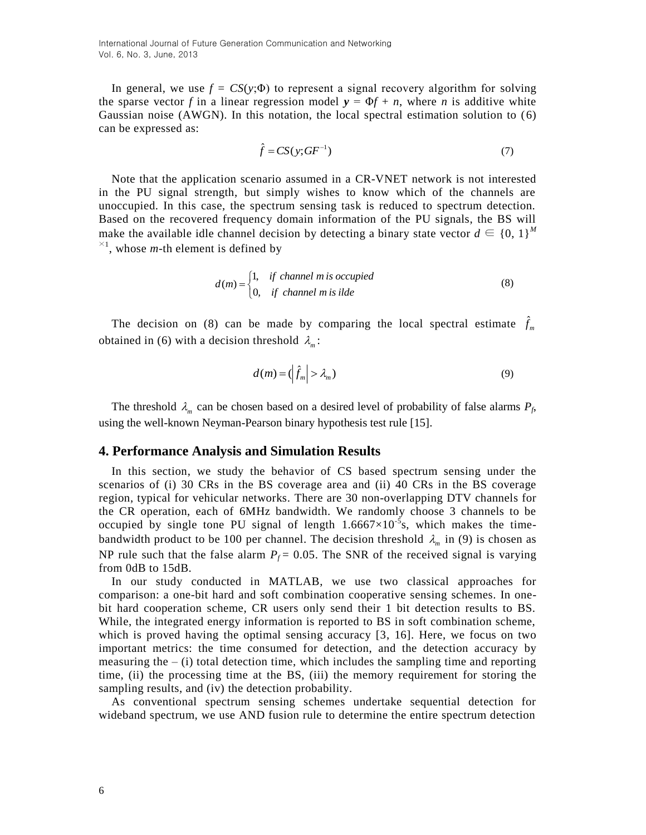In general, we use  $f = CS(y; \Phi)$  to represent a signal recovery algorithm for solving the sparse vector *f* in a linear regression model  $y = \Phi f + n$ , where *n* is additive white Gaussian noise (AWGN). In this notation, the local spectral estimation solution to (6) can be expressed as:

$$
\hat{f} = CS(y; GF^{-1})\tag{7}
$$

Note that the application scenario assumed in a CR-VNET network is not interested in the PU signal strength, but simply wishes to know which of the channels are unoccupied. In this case, the spectrum sensing task is reduced to spectrum detection. Based on the recovered frequency domain information of the PU signals, the BS will make the available idle channel decision by detecting a binary state vector  $d \in \{0, 1\}^M$  $\times$ <sup>1</sup>, whose *m*-th element is defined by

$$
d(m) = \begin{cases} 1, & \text{if channel } m \text{ is occupied} \\ 0, & \text{if channel } m \text{ is idle} \end{cases}
$$
 (8)

The decision on (8) can be made by comparing the local spectral estimate  $\hat{f}_m$ obtained in (6) with a decision threshold  $\lambda_m$ :

$$
d(m) = \left(\hat{f}_m\right) > \lambda_m\tag{9}
$$

The threshold  $\lambda_m$  can be chosen based on a desired level of probability of false alarms  $P_f$ , using the well-known Neyman-Pearson binary hypothesis test rule [15].

#### **4. Performance Analysis and Simulation Results**

In this section, we study the behavior of CS based spectrum sensing under the scenarios of (i) 30 CRs in the BS coverage area and (ii) 40 CRs in the BS coverage region, typical for vehicular networks. There are 30 non-overlapping DTV channels for the CR operation, each of 6MHz bandwidth. We randomly choose 3 channels to be occupied by single tone PU signal of length  $1.6667 \times 10^{-5}$ s, which makes the timebandwidth product to be 100 per channel. The decision threshold  $\lambda_m$  in (9) is chosen as NP rule such that the false alarm  $P_f = 0.05$ . The SNR of the received signal is varying from 0dB to 15dB.

In our study conducted in MATLAB, we use two classical approaches for comparison: a one-bit hard and soft combination cooperative sensing schemes. In onebit hard cooperation scheme, CR users only send their 1 bit detection results to BS. While, the integrated energy information is reported to BS in soft combination scheme, which is proved having the optimal sensing accuracy [3, 16]. Here, we focus on two important metrics: the time consumed for detection, and the detection accuracy by measuring the  $-$  (i) total detection time, which includes the sampling time and reporting time, (ii) the processing time at the BS, (iii) the memory requirement for storing the sampling results, and (iv) the detection probability.

As conventional spectrum sensing schemes undertake sequential detection for wideband spectrum, we use AND fusion rule to determine the entire spectrum detection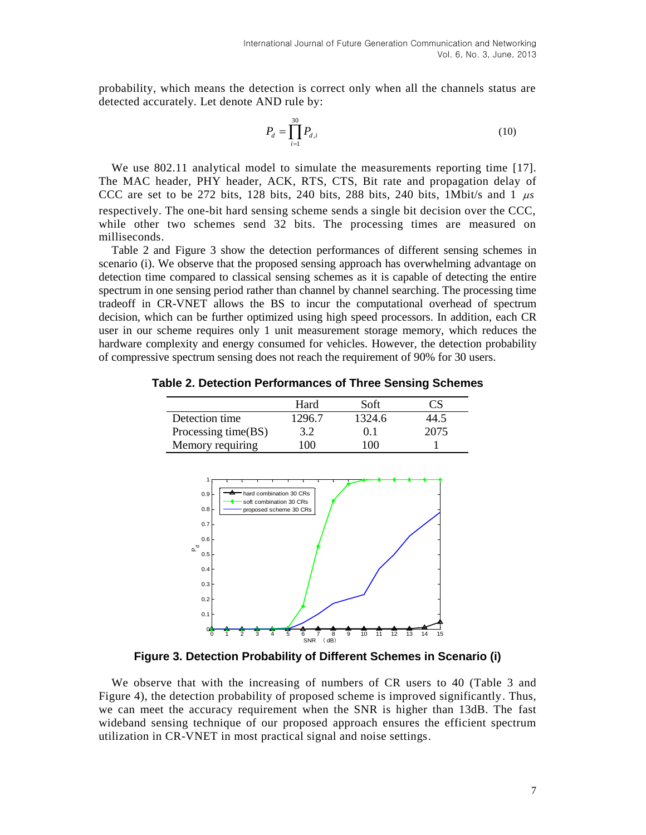probability, which means the detection is correct only when all the channels status are detected accurately. Let denote AND rule by:

$$
P_d = \prod_{i=1}^{30} P_{d,i} \tag{10}
$$

We use 802.11 analytical model to simulate the measurements reporting time [17]. The MAC header, PHY header, ACK, RTS, CTS, Bit rate and propagation delay of CCC are set to be 272 bits, 128 bits, 240 bits, 288 bits, 240 bits, 1Mbit/s and 1  $\mu s$ respectively. The one-bit hard sensing scheme sends a single bit decision over the CCC, while other two schemes send 32 bits. The processing times are measured on milliseconds.

Table 2 and Figure 3 show the detection performances of different sensing schemes in scenario (i). We observe that the proposed sensing approach has overwhelming advantage on detection time compared to classical sensing schemes as it is capable of detecting the entire spectrum in one sensing period rather than channel by channel searching. The processing time tradeoff in CR-VNET allows the BS to incur the computational overhead of spectrum decision, which can be further optimized using high speed processors. In addition, each CR user in our scheme requires only 1 unit measurement storage memory, which reduces the hardware complexity and energy consumed for vehicles. However, the detection probability of compressive spectrum sensing does not reach the requirement of 90% for 30 users.

**Table 2. Detection Performances of Three Sensing Schemes**

|                     | Hard   | Soft   | CS   |
|---------------------|--------|--------|------|
| Detection time      | 1296.7 | 1324.6 | 44.5 |
| Processing time(BS) | 3.2    | 0.1    | 2075 |
| Memory requiring    | 100    | 100    |      |



**Figure 3. Detection Probability of Different Schemes in Scenario (i)**

We observe that with the increasing of numbers of CR users to 40 (Table 3 and Figure 4), the detection probability of proposed scheme is improved significantly. Thus, we can meet the accuracy requirement when the SNR is higher than 13dB. The fast wideband sensing technique of our proposed approach ensures the efficient spectrum utilization in CR-VNET in most practical signal and noise settings.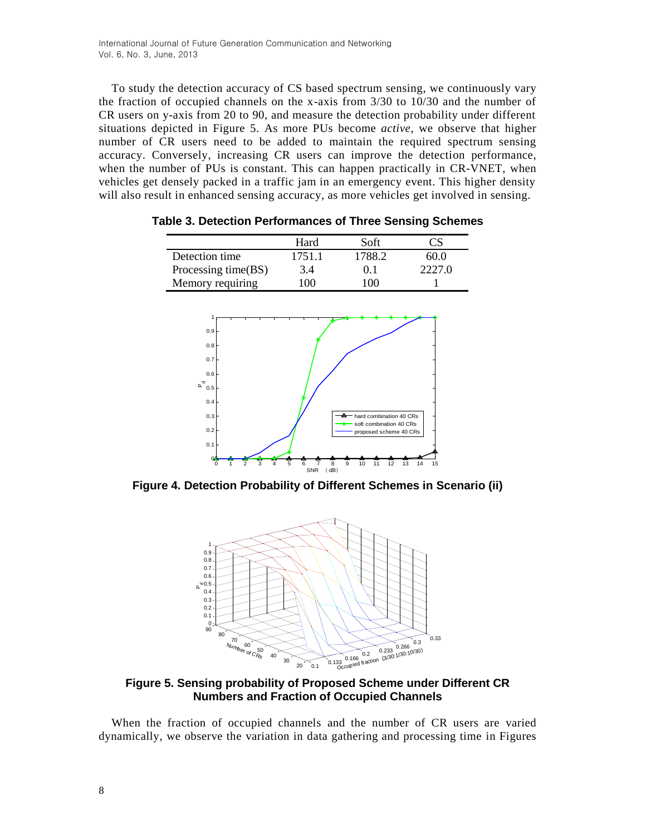To study the detection accuracy of CS based spectrum sensing, we continuously vary the fraction of occupied channels on the x-axis from 3/30 to 10/30 and the number of CR users on y-axis from 20 to 90, and measure the detection probability under different situations depicted in Figure 5. As more PUs become *active*, we observe that higher number of CR users need to be added to maintain the required spectrum sensing accuracy. Conversely, increasing CR users can improve the detection performance, when the number of PUs is constant. This can happen practically in CR-VNET, when vehicles get densely packed in a traffic jam in an emergency event. This higher density will also result in enhanced sensing accuracy, as more vehicles get involved in sensing.

|                     | Hard   | Soft   | CS     |
|---------------------|--------|--------|--------|
| Detection time      | 1751.1 | 1788.2 | 60.0   |
| Processing time(BS) | 3.4    | 0.1    | 2227.0 |
| Memory requiring    | 100    | 100    |        |

**Table 3. Detection Performances of Three Sensing Schemes**



**Figure 4. Detection Probability of Different Schemes in Scenario (ii)**



**Figure 5. Sensing probability of Proposed Scheme under Different CR Numbers and Fraction of Occupied Channels**

When the fraction of occupied channels and the number of CR users are varied dynamically, we observe the variation in data gathering and processing time in Figures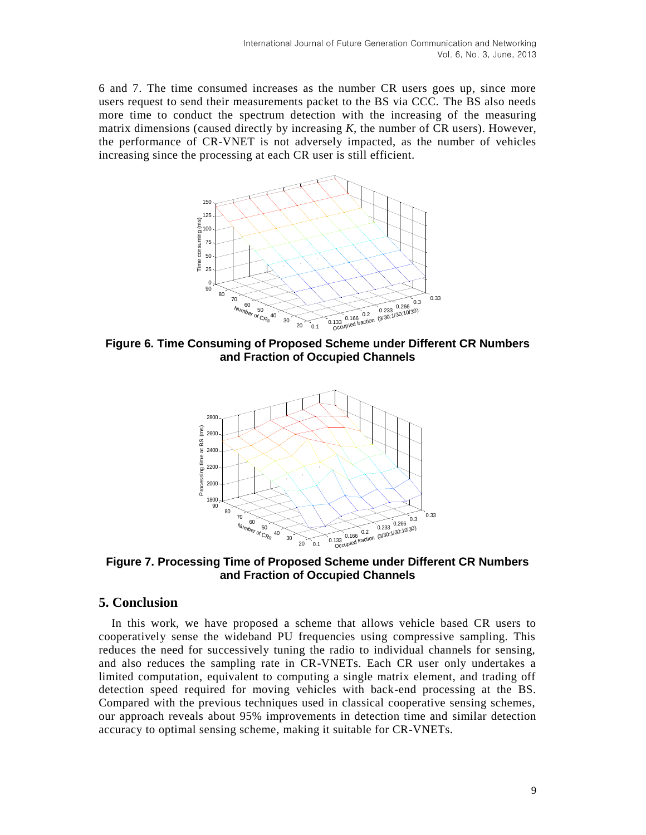6 and 7. The time consumed increases as the number CR users goes up, since more users request to send their measurements packet to the BS via CCC. The BS also needs more time to conduct the spectrum detection with the increasing of the measuring matrix dimensions (caused directly by increasing *K*, the number of CR users). However, the performance of CR-VNET is not adversely impacted, as the number of vehicles increasing since the processing at each CR user is still efficient.



**Figure 6. Time Consuming of Proposed Scheme under Different CR Numbers and Fraction of Occupied Channels**



**Figure 7. Processing Time of Proposed Scheme under Different CR Numbers and Fraction of Occupied Channels**

# **5. Conclusion**

In this work, we have proposed a scheme that allows vehicle based CR users to cooperatively sense the wideband PU frequencies using compressive sampling. This reduces the need for successively tuning the radio to individual channels for sensing, and also reduces the sampling rate in CR-VNETs. Each CR user only undertakes a limited computation, equivalent to computing a single matrix element, and trading off detection speed required for moving vehicles with back-end processing at the BS. Compared with the previous techniques used in classical cooperative sensing schemes, our approach reveals about 95% improvements in detection time and similar detection accuracy to optimal sensing scheme, making it suitable for CR-VNETs.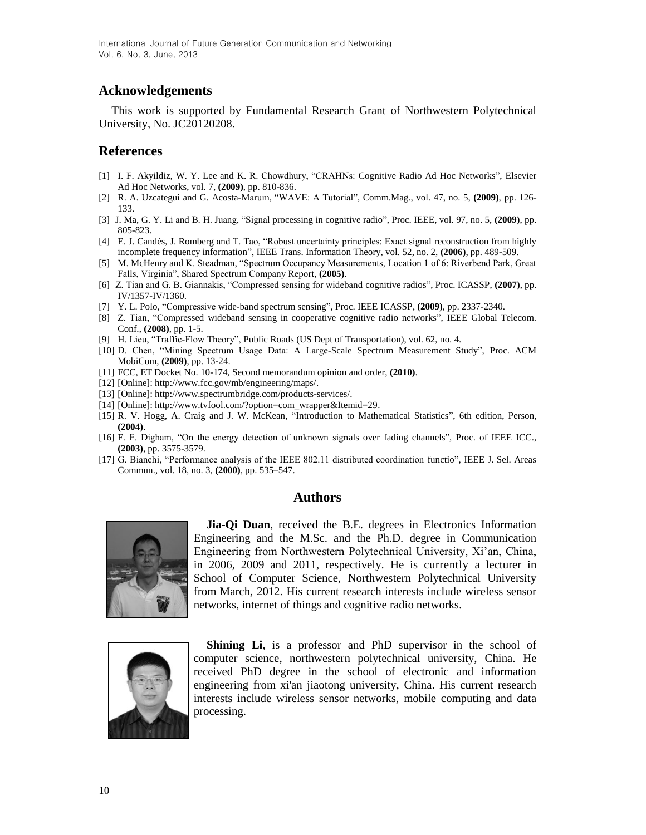# **Acknowledgements**

This work is supported by Fundamental Research Grant of Northwestern Polytechnical University, No. JC20120208.

### **References**

- [1] I. F. Akyildiz, W. Y. Lee and K. R. Chowdhury, "CRAHNs: Cognitive Radio Ad Hoc Networks", Elsevier Ad Hoc Networks, vol. 7, **(2009)**, pp. 810-836.
- [2] R. A. Uzcategui and G. Acosta-Marum, "WAVE: A Tutorial", Comm.Mag., vol. 47, no. 5, **(2009)**, pp. 126- 133.
- [3] J. Ma, G. Y. Li and B. H. Juang, "Signal processing in cognitive radio", Proc. IEEE, vol. 97, no. 5, **(2009)**, pp. 805-823.
- [4] E. J. Candés, J. Romberg and T. Tao, "Robust uncertainty principles: Exact signal reconstruction from highly incomplete frequency information", IEEE Trans. Information Theory, vol. 52, no. 2, **(2006)**, pp. 489-509.
- [5] M. McHenry and K. Steadman, "Spectrum Occupancy Measurements, Location 1 of 6: Riverbend Park, Great Falls, Virginia", Shared Spectrum Company Report, **(2005)**.
- [6] Z. Tian and G. B. Giannakis, "Compressed sensing for wideband cognitive radios", Proc. ICASSP, **(2007)**, pp. IV/1357-IV/1360.
- [7] Y. L. Polo*,* "Compressive wide-band spectrum sensing", Proc. IEEE ICASSP, **(2009)**, pp. 2337-2340.
- [8] Z. Tian, "Compressed wideband sensing in cooperative cognitive radio networks", IEEE Global Telecom. Conf., **(2008)**, pp. 1-5.
- [9] H. Lieu, "Traffic-Flow Theory", Public Roads (US Dept of Transportation), vol. 62, no. 4.
- [10] D. Chen, "Mining Spectrum Usage Data: A Large-Scale Spectrum Measurement Study", Proc. ACM MobiCom, **(2009)**, pp. 13-24.
- [11] FCC, ET Docket No. 10-174, Second memorandum opinion and order, **(2010)**.
- [12] [Online]: http://www.fcc.gov/mb/engineering/maps/.
- [13] [Online]: http://www.spectrumbridge.com/products-services/.
- [14] [Online]: http://www.tvfool.com/?option=com\_wrapper&Itemid=29.
- [15] R. V. Hogg, A. Craig and J. W. McKean, "Introduction to Mathematical Statistics", 6th edition, Person, **(2004)**.
- [16] F. F. Digham, "On the energy detection of unknown signals over fading channels", Proc. of IEEE ICC., **(2003)**, pp. 3575-3579.
- [17] G. Bianchi, "Performance analysis of the IEEE 802.11 distributed coordination functio", IEEE J. Sel. Areas Commun., vol. 18, no. 3, **(2000)**, pp. 535–547.

#### **Authors**



**Jia-Qi Duan**, received the B.E. degrees in Electronics Information Engineering and the M.Sc. and the Ph.D. degree in Communication Engineering from Northwestern Polytechnical University, Xi'an, China, in 2006, 2009 and 2011, respectively. He is currently a lecturer in School of Computer Science, Northwestern Polytechnical University from March, 2012. His current research interests include wireless sensor networks, internet of things and cognitive radio networks.



**Shining Li**, is a professor and PhD supervisor in the school of computer science, northwestern polytechnical university, China. He received PhD degree in the school of electronic and information engineering from xi'an jiaotong university, China. His current research interests include wireless sensor networks, mobile computing and data processing.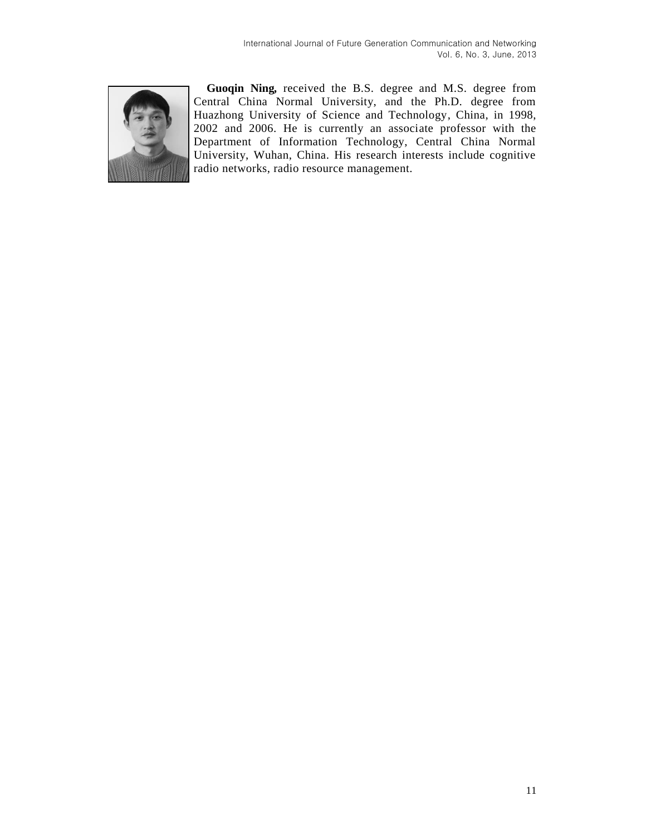

**Guoqin Ning***,* received the B.S. degree and M.S. degree from Central China Normal University, and the Ph.D. degree from Huazhong University of Science and Technology, China, in 1998, 2002 and 2006. He is currently an associate professor with the Department of Information Technology, Central China Normal University, Wuhan, China. His research interests include cognitive radio networks, radio resource management.